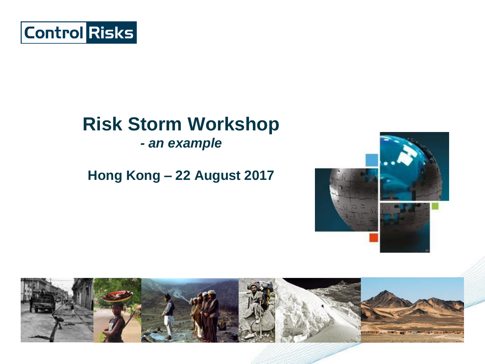

## **Risk Storm Workshop**

*- an example*

#### **Hong Kong – 22 August 2017**



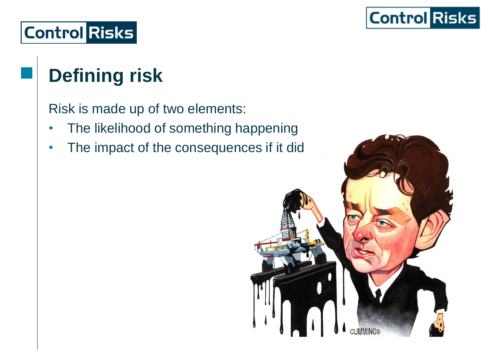

## **Defining risk**

Risk is made up of two elements:

- The likelihood of something happening
- The impact of the consequences if it did

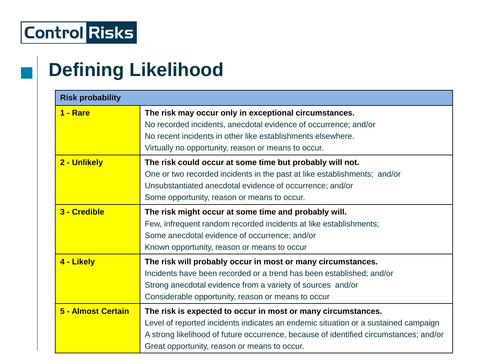## **Defining Likelihood**

| <b>Risk probability</b> |                                                                                                                                                                                                                                                                                             |  |
|-------------------------|---------------------------------------------------------------------------------------------------------------------------------------------------------------------------------------------------------------------------------------------------------------------------------------------|--|
| 1 - Rare                | The risk may occur only in exceptional circumstances.<br>No recorded incidents, anecdotal evidence of occurrence; and/or<br>No recent incidents in other like establishments elsewhere.<br>Virtually no opportunity, reason or means to occur.                                              |  |
| 2 - Unlikely            | The risk could occur at some time but probably will not.<br>One or two recorded incidents in the past at like establishments; and/or<br>Unsubstantiated anecdotal evidence of occurrence; and/or<br>Some opportunity, reason or means to occur.                                             |  |
| 3 - Credible            | The risk might occur at some time and probably will.<br>Few, infrequent random recorded incidents at like establishments;<br>Some anecdotal evidence of occurrence; and/or<br>Known opportunity, reason or means to occur                                                                   |  |
| 4 - Likely              | The risk will probably occur in most or many circumstances.<br>Incidents have been recorded or a trend has been established; and/or<br>Strong anecdotal evidence from a variety of sources and/or<br>Considerable opportunity, reason or means to occur                                     |  |
| 5 - Almost Certain      | The risk is expected to occur in most or many circumstances.<br>Level of reported incidents indicates an endemic situation or a sustained campaign<br>A strong likelihood of future occurrence, because of identified circumstances; and/or<br>Great opportunity, reason or means to occur. |  |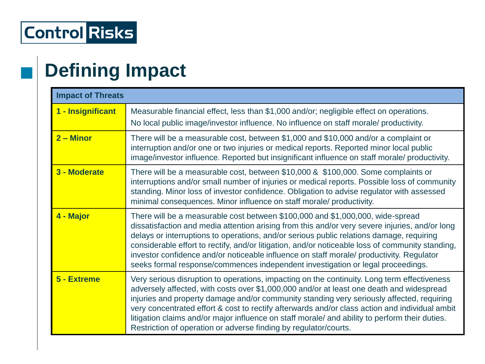## **Defining Impact**

| <b>Impact of Threats</b> |                                                                                                                                                                                                                                                                                                                                                                                                                                                                                                                                                                 |  |
|--------------------------|-----------------------------------------------------------------------------------------------------------------------------------------------------------------------------------------------------------------------------------------------------------------------------------------------------------------------------------------------------------------------------------------------------------------------------------------------------------------------------------------------------------------------------------------------------------------|--|
| 1 - Insignificant        | Measurable financial effect, less than \$1,000 and/or; negligible effect on operations.<br>No local public image/investor influence. No influence on staff morale/ productivity.                                                                                                                                                                                                                                                                                                                                                                                |  |
| $2 -$ Minor              | There will be a measurable cost, between \$1,000 and \$10,000 and/or a complaint or<br>interruption and/or one or two injuries or medical reports. Reported minor local public<br>image/investor influence. Reported but insignificant influence on staff morale/ productivity.                                                                                                                                                                                                                                                                                 |  |
| 3 - Moderate             | There will be a measurable cost, between \$10,000 & \$100,000. Some complaints or<br>interruptions and/or small number of injuries or medical reports. Possible loss of community<br>standing. Minor loss of investor confidence. Obligation to advise regulator with assessed<br>minimal consequences. Minor influence on staff morale/ productivity.                                                                                                                                                                                                          |  |
| 4 - Major                | There will be a measurable cost between \$100,000 and \$1,000,000, wide-spread<br>dissatisfaction and media attention arising from this and/or very severe injuries, and/or long<br>delays or interruptions to operations, and/or serious public relations damage, requiring<br>considerable effort to rectify, and/or litigation, and/or noticeable loss of community standing,<br>investor confidence and/or noticeable influence on staff morale/ productivity. Regulator<br>seeks formal response/commences independent investigation or legal proceedings. |  |
| 5 - Extreme              | Very serious disruption to operations, impacting on the continuity. Long term effectiveness<br>adversely affected, with costs over \$1,000,000 and/or at least one death and widespread<br>injuries and property damage and/or community standing very seriously affected, requiring<br>very concentrated effort & cost to rectify afterwards and/or class action and individual ambit<br>litigation claims and/or major influence on staff morale/ and ability to perform their duties.<br>Restriction of operation or adverse finding by regulator/courts.    |  |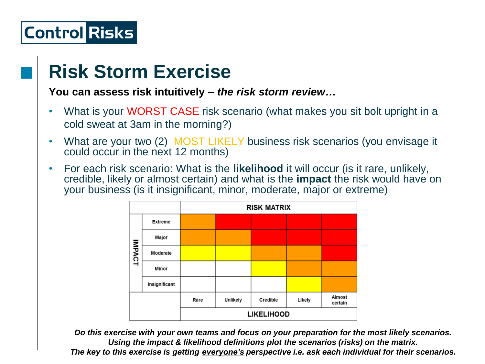### **Risk Storm Exercise**

**You can assess risk intuitively –** *the risk storm review…*

- What is your WORST CASE risk scenario (what makes you sit bolt upright in a cold sweat at 3am in the morning?)
- What are your two (2) MOST LIKELY business risk scenarios (you envisage it could occur in the next 12 months)
- For each risk scenario: What is the **likelihood** it will occur (is it rare, unlikely, credible, likely or almost certain) and what is the **impact** the risk would have on your business (is it insignificant, minor, moderate, major or extreme)



*Do this exercise with your own teams and focus on your preparation for the most likely scenarios. Using the impact & likelihood definitions plot the scenarios (risks) on the matrix.*

*The key to this exercise is getting everyone's perspective i.e. ask each individual for their scenarios.*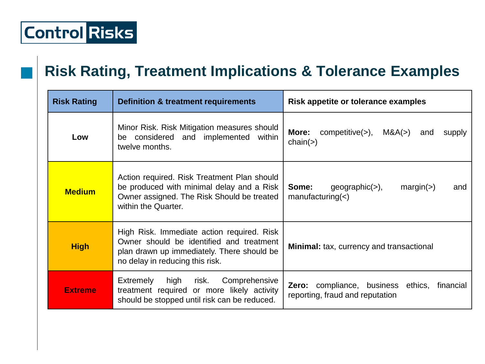#### **Risk Rating, Treatment Implications & Tolerance Examples**

| <b>Risk Rating</b> | <b>Definition &amp; treatment requirements</b>                                                                                                                          | Risk appetite or tolerance examples                                                          |
|--------------------|-------------------------------------------------------------------------------------------------------------------------------------------------------------------------|----------------------------------------------------------------------------------------------|
| Low                | Minor Risk. Risk Mitigation measures should<br>considered and implemented within<br>be<br>twelve months.                                                                | $\text{competitive}(>)$ ,<br>M&A(>)<br>More:<br>and<br>supply<br>chain(>)                    |
| <b>Medium</b>      | Action required. Risk Treatment Plan should<br>be produced with minimal delay and a Risk<br>Owner assigned. The Risk Should be treated<br>within the Quarter.           | Some:<br>$geographic(>)$ ,<br>margin(>)<br>and<br>manufacturing(<)                           |
| <b>High</b>        | High Risk. Immediate action required. Risk<br>Owner should be identified and treatment<br>plan drawn up immediately. There should be<br>no delay in reducing this risk. | <b>Minimal:</b> tax, currency and transactional                                              |
| <b>Extreme</b>     | high<br><b>Extremely</b><br>risk.<br>Comprehensive<br>treatment required or more likely activity<br>should be stopped until risk can be reduced.                        | <b>Zero:</b> compliance, business<br>ethics,<br>financial<br>reporting, fraud and reputation |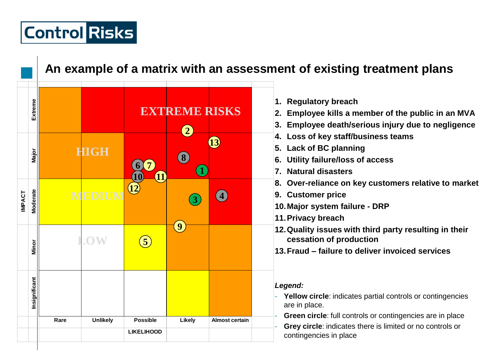#### **An example of a matrix with an assessment of existing treatment plans**